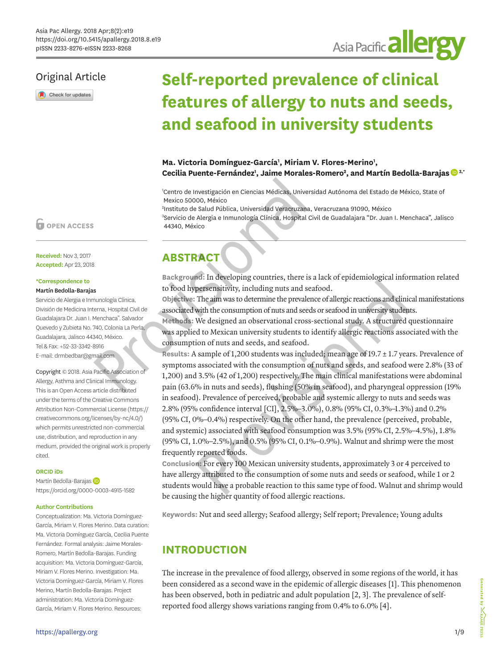## Original Article

Check for updates

# **Self-reported prevalence of clinical features of allergy to nuts and seeds, and seafood in university students**

Asia Pacific **allergy** 

### Ma. Victoria Domínguez-García<sup>1</sup>, Miriam V. Flores-Merino<sup>1</sup>, **Cecilia Puente-Fernández1 , Jaime Morales-Romero2 , and Martín Bedolla-Baraja[s](https://orcid.org/0000-0003-4915-1582) 3,\***

1 Centro de Investigación en Ciencias Médicas, Universidad Autónoma del Estado de México, State of Mexico 50000, México

2 Instituto de Salud Pública, Universidad Veracruzana, Veracruzana 91090, México 3 Servicio de Alergia e Inmunología Clínica, Hospital Civil de Guadalajara "Dr. Juan I. Menchaca", Jalisco 44340, México

**Received:** Nov 3, 2017 **Accepted:** Apr 23, 2018

#### **\*Correspondence to**

#### Martín Bedolla-Barajas

Servicio de Alergia e Inmunología Clínica, División de Medicina Interna, Hospital Civil de Guadalajara Dr. Juan I. Menchaca". Salvador Quevedo y Zubieta No. 740, Colonia La Perla, Guadalajara, Jalisco 44340, México. Tel & Fax: +52-33-3342-8916 E-mail: drmbedbar@gmail.com

Copyright © 2018. Asia Pacific Association of Allergy, Asthma and Clinical Immunology. This is an Open Access article distributed under the terms of the Creative Commons Attribution Non-Commercial License [\(https://](https://creativecommons.org/licenses/by-nc/4.0/) [creativecommons.org/licenses/by-nc/4.0/](https://creativecommons.org/licenses/by-nc/4.0/)) which permits unrestricted non-commercial use, distribution, and reproduction in any medium, provided the original work is properly cited.

#### **ORCID iDs**

Martín Bedolla-Baraja[s](https://orcid.org/0000-0003-4915-1582) (D <https://orcid.org/0000-0003-4915-1582>

#### **Author Contributions**

Conceptualization: Ma. Victoria Domínguez-García, Miriam V. Flores Merino. Data curation: Ma. Victoria Domínguez García, Cecilia Puente Fernández. Formal analysis: Jaime Morales-Romero, Martín Bedolla-Barajas. Funding acquisition: Ma. Victoria Domínguez-García, Miriam V. Flores Merino. Investigation: Ma. Victoria Domínguez-García, Miriam V. Flores Merino, Martín Bedolla-Barajas. Project administration: Ma. Victoria Domínguez-García, Miriam V. Flores Merino. Resources:

# **ABSTRACT**

**Background:** In developing countries, there is a lack of epidemiological information related to food hypersensitivity, including nuts and seafood.

**Objective:** The aim was to determine the prevalence of allergic reactions and clinical manifestations associated with the consumption of nuts and seeds or seafood in university students.

**Methods:** We designed an observational cross-sectional study. A structured questionnaire was applied to Mexican university students to identify allergic reactions associated with the consumption of nuts and seeds, and seafood.

**Results:** A sample of 1,200 students was included; mean age of 19.7 ± 1.7 years. Prevalence of symptoms associated with the consumption of nuts and seeds, and seafood were 2.8% (33 of 1,200) and 3.5% (42 of 1,200) respectively. The main clinical manifestations were abdominal pain (63.6% in nuts and seeds), flushing (50% in seafood), and pharyngeal oppression (19% in seafood). Prevalence of perceived, probable and systemic allergy to nuts and seeds was 2.8% (95% confidence interval [CI], 2.5%–3.0%), 0.8% (95% CI, 0.3%–1.3%) and 0.2% (95% CI, 0%–0.4%) respectively. On the other hand, the prevalence (perceived, probable, and systemic) associated with seafood consumption was 3.5% (95% CI, 2.5%–4.5%), 1.8% (95% CI, 1.0%–2.5%), and 0.5% (95% CI, 0.1%–0.9%). Walnut and shrimp were the most frequently reported foods. Cecilia Puente-Fernández<sup>1</sup>, Jaime Morales-R<br>
<sup>1</sup>Centro de Investigación en Ciencias Médicas, Universida<br>
Mexico 50000, México<br>
<sup>4</sup>Instituto de Salud Pública, Universidad Veracruzana, Veracruzana, Veracruzana, Veracruzana, nd: In developing countries, there is a lack of epidemiological inform<br>persensitivity, including nuts and seafood.<br>The aim was to determine the prevalence of allergic reactions and clinical<br>with the consumption of nuts an

**Conclusion:** For every 100 Mexican university students, approximately 3 or 4 perceived to have allergy attributed to the consumption of some nuts and seeds or seafood, while 1 or 2 students would have a probable reaction to this same type of food. Walnut and shrimp would be causing the higher quantity of food allergic reactions.

**Keywords:** Nut and seed allergy; Seafood allergy; Self report; Prevalence; Young adults

# **INTRODUCTION**

The increase in the prevalence of food allergy, observed in some regions of the world, it has been considered as a second wave in the epidemic of allergic diseases [\[1\]](#page-6-0). This phenomenon has been observed, both in pediatric and adult population [[2](#page-6-1), [3](#page-6-2)]. The prevalence of selfreported food allergy shows variations ranging from 0.4% to 6.0% [[4\]](#page-6-3).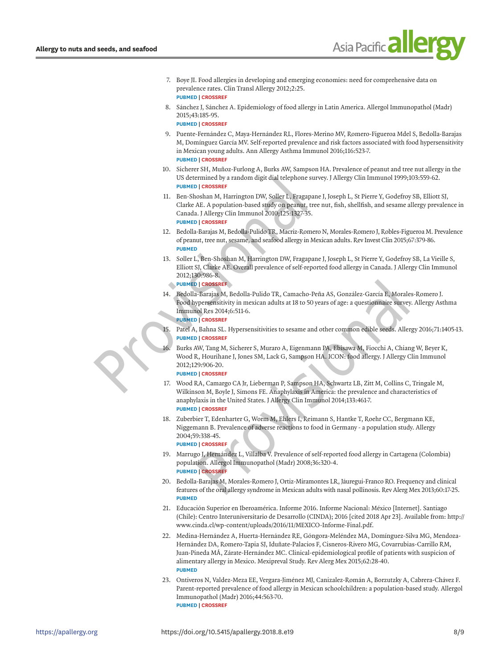

- [7.](#page-4-0) Boye JI. Food allergies in developing and emerging economies: need for comprehensive data on prevalence rates. Clin Transl Allergy 2012;2:25. **[PUBMED](http://www.ncbi.nlm.nih.gov/pubmed/23256652) | [CROSSREF](https://doi.org/10.1186/2045-7022-2-25)**
- [8.](#page-4-0) Sánchez J, Sánchez A. Epidemiology of food allergy in Latin America. Allergol Immunopathol (Madr) 2015;43:185-95.

**[PUBMED](http://www.ncbi.nlm.nih.gov/pubmed/24207003) | [CROSSREF](https://doi.org/10.1016/j.aller.2013.07.001)**

- [9.](#page-1-0) Puente-Fernández C, Maya-Hernández RL, Flores-Merino MV, Romero-Figueroa Mdel S, Bedolla-Barajas M, Domínguez García MV. Self-reported prevalence and risk factors associated with food hypersensitivity in Mexican young adults. Ann Allergy Asthma Immunol 2016;116:523-7. **[PUBMED](http://www.ncbi.nlm.nih.gov/pubmed/27052816) | [CROSSREF](https://doi.org/10.1016/j.anai.2016.03.010)**
- [10.](#page-1-1) Sicherer SH, Muñoz-Furlong A, Burks AW, Sampson HA. Prevalence of peanut and tree nut allergy in the US determined by a random digit dial telephone survey. J Allergy Clin Immunol 1999;103:559-62. **PUBMED | CROSSREF**
- 11. Ben-Shoshan M, Harrington DW, Soller L, Fragapane J, Joseph L, St Pierre Y, Godefroy SB, Elliott SJ, Clarke AE. A population-based study on peanut, tree nut, fish, shellfish, and sesame allergy prevalence in Canada. J Allergy Clin Immunol 2010;125:1327-35. **PUBMED | CROSSREF** 10. Suc[r](#page-5-3)ete Sr[i](http://www.ncbi.nlm.nih.gov/pubmed/22867693), Muniz-Funning A<sub>1</sub>, Suars awi, Samps[o](https://doi.org/10.1016/j.jaci.2010.03.015)n H<br>
US determined by a random digit dial telephone survey<br>
PROVIED | CROSSREF<br>
11. Ben-Shoshan M, Harrington DW, Soller L, Fragapane<br>
Clarke AE. A population-based st
	- 12. Bedolla-Barajas M, Bedolla-Pulido TR, Macriz-Romero N, Morales-Romero J, Robles-Figueroa M. Prevalence of peanut, tree nut, sesame, and seafood allergy in Mexican adults. Rev Invest Clin 2015;67:379-86. **PUBMED**
	- 13. Soller L, Ben-Shoshan M, Harrington DW, Fragapane J, Joseph L, St Pierre Y, Godefroy SB, La Vieille S, Elliott SJ, Clarke AE. Overall prevalence of self-reported food allergy in Canada. J Allergy Clin Immunol 2012;130:986-8.

**PUBMED | CROSSREF**

- 14. Bedolla-Barajas M, Bedolla-Pulido TR, Camacho-Peña AS, González-García E, Morales-Romero J. Food hypersensitivity in mexican adults at 18 to 50 years of age: a questionnaire survey. Allergy Asthma Immunol Res 2014;6:511-6. **PUBMED | CROSSREF**
- 15. Patel A, Bahna SL. Hypersensitivities to sesame and other common edible seeds. Allergy 2016;71:1405-13. **PUBMED | CROSSREF**
- 16. Burks AW, Tang M, Sicherer S, Muraro A, Eigenmann PA, Ebisawa M, Fiocchi A, Chiang W, Beyer K, Wood R, Hourihane J, Jones SM, Lack G, Sampson HA. ICON: food allergy. J Allergy Clin Immunol 2012;129:906-20.

#### **PUBMED | CROSSREF**

- 17. Wood RA, Camargo CA Jr, Lieberman P, Sampson HA, Schwartz LB, Zitt M, Collins C, Tringale M, Wilkinson M, Boyle J, Simons FE. Anaphylaxis in America: the prevalence and characteristics of anaphylaxis in the United States. J Allergy Clin Immunol 2014;133:461-7. **[PUBMED](http://www.ncbi.nlm.nih.gov/pubmed/24144575) | CROSSREF** 30:986-8.<br>
• CROSSREF<br>
• Barajas M, Bedolla-Pulido TR, Camacho-Peña AS, González-García E, Morales-B<br>
• Sergias M, Bedolla-Pulido TR, Camacho-Peña AS, González-García E, Morales-B<br>
• presensitivity in mexican adults at 18
- [18.](#page-5-5) Zuberbier T, Edenharter G, Worm M, Ehlers I, Reimann S, Hantke T, Roehr CC, Bergmann KE, Niggemann B. Prevalence of adverse reactions to food in Germany - a population study. Allergy 2004;59:338-45.

**[PUBMED](http://www.ncbi.nlm.nih.gov/pubmed/14982518) | CROSSREF**

- [19.](#page-5-6) Marrugo J, Hernández L, Villalba V. Prevalence of self-reported food allergy in Cartagena (Colombia) population. Allergol Immunopathol (Madr) 2008;36:320-4. **[PUBMED](http://www.ncbi.nlm.nih.gov/pubmed/19150030) | CROSSREF**
- [20.](#page-5-7) Bedolla-Barajas M, Morales-Romero J, Ortiz-Miramontes LR, Jáuregui-Franco RO. Frequency and clinical features of the oral allergy syndrome in Mexican adults with nasal pollinosis. Rev Alerg Mex 2013;60:17-25. **[PUBMED](http://www.ncbi.nlm.nih.gov/pubmed/24008065)**
- [21.](#page-5-8) Educación Superior en Iberoamérica. Informe 2016. Informe Nacional: México [Internet]. Santiago (Chile): Centro Interuniversitario de Desarrollo (CINDA); 2016 [cited 2018 Apr 23]. Available from: http:// www.cinda.cl/wp-content/uploads/2016/11/MEXICO-Informe-Final.pdf.
- [22.](#page-5-9) Medina-Hernández A, Huerta-Hernández RE, Góngora-Meléndez MA, Domínguez-Silva MG, Mendoza-Hernández DA, Romero-Tapia SJ, Iduñate-Palacios F, Cisneros-Rivero MG, Covarrubias-Carrillo RM, Juan-Pineda MÁ, Zárate-Hernández MC. Clinical-epidemiological profile of patients with suspicion of alimentary allergy in Mexico. Mexipreval Study. Rev Alerg Mex 2015;62:28-40. **[PUBMED](http://www.ncbi.nlm.nih.gov/pubmed/25758111)**
- [23.](#page-6-4) Ontiveros N, Valdez-Meza EE, Vergara-Jiménez MJ, Canizalez-Román A, Borzutzky A, Cabrera-Chávez F. Parent-reported prevalence of food allergy in Mexican schoolchildren: a population-based study. Allergol Immunopathol (Madr) 2016;44:563-70. **[PUBMED](http://www.ncbi.nlm.nih.gov/pubmed/27475776) | [CROSSREF](https://doi.org/10.1016/j.aller.2016.03.003)**